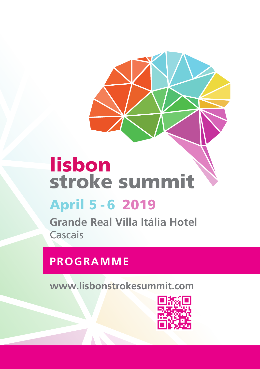# lisbon stroke summit

## April 5 - 6 2019

**Grande Real Villa Itália Hotel Cascais** 

## **PROGRAMME**

**www.lisbonstrokesummit.com**

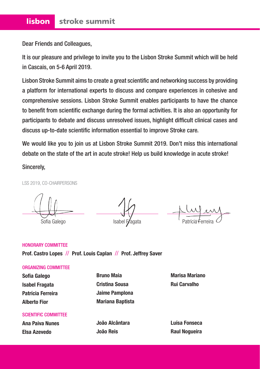Dear Friends and Colleagues,

It is our pleasure and privilege to invite you to the Lisbon Stroke Summit which will be held in Cascais, on 5-6 April 2019.

Lisbon Stroke Summit aims to create a great scientific and networking success by providing a platform for international experts to discuss and compare experiences in cohesive and comprehensive sessions. Lisbon Stroke Summit enables participants to have the chance to benefit from scientific exchange during the formal activities. It is also an opportunity for participants to debate and discuss unresolved issues, highlight difficult clinical cases and discuss up-to-date scientific information essential to improve Stroke care.

We would like you to join us at Lisbon Stroke Summit 2019. Don't miss this international debate on the state of the art in acute stroke! Help us build knowledge in acute stroke!

Sincerely,

LSS 2019, CO-CHAIRPERSONS

Sofia Galego **Isabel Fragata** 

#### HONORARY COMMITTEE **Prof. Castro Lopes** // **Prof. Louis Caplan** // **Prof. Jeffrey Saver**

#### ORGANIZING COMMITTEE

**Sofia Galego Isabel Fragata Patrícia Ferreira Alberto Fior** 

**Bruno Maia Cristina Sousa Jaime Pamplona Mariana Baptista**

SCIENTIFIC COMMITTEE

**Ana Paiva Nunes Elsa Azevedo**

**João Alcântara João Reis**

**Marisa Mariano Rui Carvalho**

**Luísa Fonseca Raul Nogueira**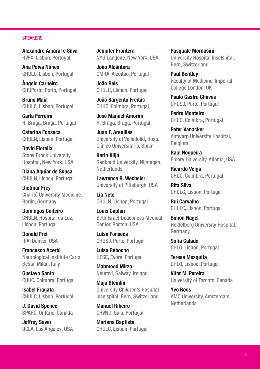#### **SPEAKERS**

**Alexandre Amaral e Silva** HVFX, Lisbon, Portugal

**Ana Paiva Nunes** CHULC, Lisbon, Portugal

**Ângelo Carneiro** CHUPorto, Porto, Portugal

**Bruno Maia** CHULC, Lisbon, Portugal

**Carla Ferreira** H. Braga, Braga, Portugal

**Catarina Fonseca** CHULN, Lisbon, Portugal

**David Fiorella** Stony Brook University Hospital, New York, USA

**Diana Aguiar de Sousa** CHULN, Lisbon, Portugal

**Dietmar Frey** Charité University Medicine, Berlin, Germany

**Domingos Coiteiro** CHULN, Hospital da Luz, Lisbon, Portugal

**Donald Frei** RIA, Denver, USA

**Francesco Acerbi** Neurological Institute Carlo Besta, Milan, Italy

**Gustavo Santo** CHUC, Coimbra, Portugal

**Isabel Fragata** CHULC, Lisbon, Portugal

**J. David Spence** SPARC, Ontario, Canada

**Jeffrey Saver** UCLA, Los Angeles, USA **Jennifer Frontera** NYU Langone, New York, USA

**João Alcântara** CMRA, Alcoitão, Portugal

**João Reis** CHULC, Lisbon, Portugal

**João Sargento Freitas** CHUC, Coimbra, Portugal

**José Manuel Amorim** H. Braga, Braga, Portugal

**Juan F. Arenillas** University of Valladolid, Hosp. Clínico Universitario, Spain

**Karin Klijn** Radboud University, Nijmegen, **Netherlands** 

**Lawrence R. Wechsler** University of Pittsburgh, USA

**Lia Neto** CHULN, Lisbon, Portugal

**Louis Caplan** Beth Israel Deaconess Medical Center, Boston, USA

**Luísa Fonseca** CHUSJ, Porto, Portugal

**Luísa Rebocho** HESE, Évora, Portugal

**Mahmood Mirza** Neuravi, Galway, Ireland

**Maja Steinlin** University Children's Hospital Inselspital, Bern, Switzerland

**Manuel Ribeiro** CHVNG, Gaia, Portugal

**Mariana Baptista** CHULC, Lisbon, Portugal **Pasquale Mordasini** University Hospital Inselspital, Bern, Switzerland

**Paul Bentley** Faculty of Medicine, Imperial College London, UK

**Paulo Castro Chaves** CHUSJ, Porto, Portugal

**Pedro Monteiro** CHUC, Coimbra, Portugal

**Peter Vanacker** Antwerp University Hospital, Belgium

**Raul Nogueira** Emory University, Atlanta, USA

**Ricardo Veiga** CHUC, Coimbra, Portugal

**Rita Silva** CHULC, Lisbon, Portugal

**Rui Carvalho** CHULC, Lisbon, Portugal

**Simon Nagel** Heidelberg University Hospital, Germany

**Sofia Calado** CHLO, Lisbon, Portugal

**Teresa Mesquita** CHLO, Lisboa, Portugal

**Vitor M. Pereira** University of Toronto, Canada

**Yvo Roos** AMC University, Amsterdam, **Netherlands**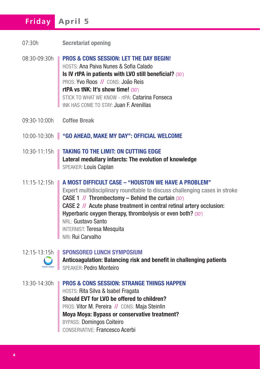## **Friday** April 5

- 07:30h **Secretariat opening**
- 08:30-09:30h **PROS & CONS SESSION: LET THE DAY BEGIN!** HOSTS: Ana Paiva Nunes & Sofia Calado **Is IV rtPA in patients with LVO still beneficial?** (30') PROS: Yvo Roos // CONS: João Reis **rtPA vs tNK: It's show time!** (30') STICK TO WHAT WE KNOW - rtPA: Catarina Fonseca tNK HAS COME TO STAY: Juan F. Arenillas
- 09:30-10:00h **Coffee Break**
- 10:00-10:30h **"GO AHEAD, MAKE MY DAY": OFFICIAL WELCOME**
- 10:30-11:15h **TAKING TO THE LIMIT: ON CUTTING EDGE Lateral medullary infarcts: The evolution of knowledge** SPEAKER: Louis Caplan
- 11:15-12:15h **A MOST DIFFICULT CASE "HOUSTON WE HAVE A PROBLEM"** Expert multidisciplinary roundtable to discuss challenging cases in stroke **CASE 1 // Thrombectomy – Behind the curtain (30')** CASE 2 // Acute phase treatment in central retinal artery occlusion: Hyperbaric oxygen therapy, thrombolysis or even both? (30') NRL: Gustavo Santo INTERNIST: Teresa Mesquita NRI: Rui Carvalho



#### 12:15-13:15h **SPONSORED LUNCH SYMPOSIUM**

**Anticoagulation: Balancing risk and benefit in challenging patients** SPEAKER: Pedro Monteiro

13:30-14:30h **PROS & CONS SESSION: STRANGE THINGS HAPPEN** HOSTS: Rita Silva & Isabel Fragata **Should EVT for LVO be offered to children?** PROS: Vitor M. Pereira // CONS: Maja Steinlin **Moya Moya: Bypass or conservative treatment?** BYPASS: Domingos Coiteiro CONSERVATIVE: Francesco Acerbi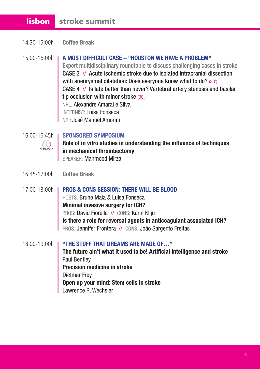### lisbon stroke summit

14:30-15:00h **Coffee Break**

#### 15:00-16:00h **A MOST DIFFICULT CASE – "HOUSTON WE HAVE A PROBLEM"** Expert multidisciplinary roundtable to discuss challenging cases in stroke CASE 3 // Acute ischemic stroke due to isolated intracranial dissection with aneurysmal dilatation: Does everyone know what to do? (30') CASE 4 // Is late better than never? Vertebral artery stenosis and basilar tip occlusion with minor stroke (30') NRL: Alexandre Amaral e Silva INTERNIST: Luísa Fonseca NRI: José Manuel Amorim

 $\mathbb{A}\mathbb{A}$ CERENOVUS

#### 16:00-16:45h **SPONSORED SYMPOSIUM**

**Role of in vitro studies in understanding the influence of techniques in mechanical thrombectomy** SPEAKER: Mahmood Mirza

- 16:45-17:00h **Coffee Break**
- 17:00-18:00h **PROS & CONS SESSION: THERE WILL BE BLOOD** HOSTS: Bruno Maia & Luísa Fonseca **Minimal invasive surgery for ICH?** PROS: David Fiorella // CONS: Karin Klijn **Is there a role for reversal agents in anticoagulant associated ICH?** PROS: Jennifer Frontera // CONS: João Sargento Freitas
- 18:00-19:00h **"THE STUFF THAT DREAMS ARE MADE OF…" The future ain't what it used to be! Artificial intelligence and stroke** Paul Bentley **Precision medicine in stroke** Dietmar Frey **Open up your mind: Stem cells in stroke** Lawrence R. Wechsler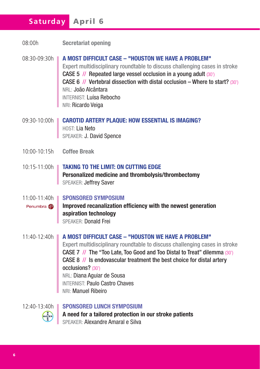## **Saturday** April 6

- 08:00h **Secretariat opening**
- 08:30-09:30h **A MOST DIFFICULT CASE "HOUSTON WE HAVE A PROBLEM"** Expert multidisciplinary roundtable to discuss challenging cases in stroke CASE 5 // Repeated large vessel occlusion in a young adult (30') CASE 6 // Vertebral dissection with distal occlusion – Where to start? (30') NRL: João Alcântara INTERNIST: Luísa Rebocho NRI: Ricardo Veiga
- 09:30-10:00h **CAROTID ARTERY PLAQUE: HOW ESSENTIAL IS IMAGING?** HOST: Lia Neto SPEAKER: J. David Spence
- 10:00-10:15h **Coffee Break**
- 10:15-11:00h **TAKING TO THE LIMIT: ON CUTTING EDGE Personalized medicine and thrombolysis/thrombectomy** SPEAKER: Jeffrey Saver
- 11:00-11:40h **SPONSORED SYMPOSIUM**

**Improved recanalization efficiency with the newest generation**  Penumbra **P aspiration technology** SPEAKER: Donald Frei

11:40-12:40h **A MOST DIFFICULT CASE – "HOUSTON WE HAVE A PROBLEM"** Expert multidisciplinary roundtable to discuss challenging cases in stroke CASE 7 // The "Too Late, Too Good and Too Distal to Treat" dilemma (30') CASE 8 // Is endovascular treatment the best choice for distal artery occlusions? (30') NRL: Diana Aguiar de Sousa INTERNIST: Paulo Castro Chaves NRI: Manuel Ribeiro



12:40-13:40h **SPONSORED LUNCH SYMPOSIUM A need for a tailored protection in our stroke patients** SPEAKER: Alexandre Amaral e Silva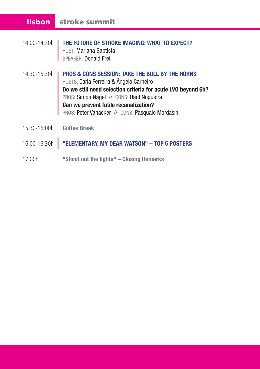## lisbon stroke summit

- 14:00-14:30h **THE FUTURE OF STROKE IMAGING: WHAT TO EXPECT?** HOST: Mariana Baptista SPEAKER: Donald Frei
- 14:30-15:30h **PROS & CONS SESSION: TAKE THE BULL BY THE HORNS** HOSTS: Carla Ferreira & Ângelo Carneiro **Do we still need selection criteria for acute LVO beyond 6h?** PROS: Simon Nagel // CONS: Raul Nogueira **Can we prevent futile recanalization?** PROS: Peter Vanacker // CONS: Pasquale Mordasini
- 15:30-16:00h **Coffee Break**

#### 16:00-16:30h **"ELEMENTARY, MY DEAR WATSON" – TOP 5 POSTERS**

17:00h **"Shoot out the lights" – Closing Remarks**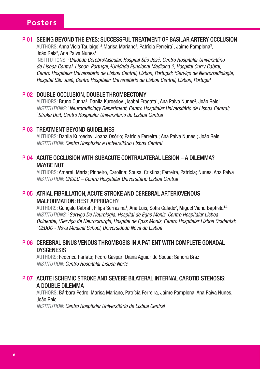#### P 01 SEEING BEYOND THE EYES: SUCCESSFUL TREATMENT OF BASILAR ARTERY OCCLUSION

AUTHORS: Anna Viola Taulaigo<sup>1,2</sup>,Marisa Mariano<sup>1</sup>, Patrícia Ferreira<sup>1</sup>, Jaime Pamplona<sup>3</sup>, João Reis<sup>3</sup>, Ana Paiva Nunes<sup>1</sup>

INSTITUTIONS: *<sup>1</sup> Unidade CerebroVascular, Hospital São José, Centro Hospitalar Universitário de Lisboa Central, Lisbon, Portugal; 2 Unidade Funcional Medicina 2, Hospital Curry Cabral, Centro Hospitalar Universitário de Lisboa Central, Lisbon, Portugal; 3 Serviço de Neurorradiologia, Hospital São José, Centro Hospitalar Universitário de Lisboa Central, Lisbon, Portugal*

#### P 02 DOUBLE OCCLUSION, DOUBLE THROMBECTOMY

AUTHORS: Bruno Cunha<sup>1</sup>, Danila Kuroedov<sup>1</sup>, Isabel Fragata<sup>1</sup>, Ana Paiva Nunes<sup>2</sup>, João Reis<sup>1</sup> INSTITUTIONS: 'Neuroradiology Department, Centro Hospitalar Universitário de Lisboa Central;<br><sup>2</sup>Stroke Unit, Centro Hospitalar Universitário de Lisboa Central *Stroke Unit, Centro Hospitalar Universitário de Lisboa Central*

#### P 03 TREATMENT BEYOND GUIDELINES

AUTHORS: Danila Kuroedov; Joana Osório; Patrícia Ferreira.; Ana Paiva Nunes.; João Reis *INSTITUTION: Centro Hospitalar e Universitário Lisboa Central*

#### P 04 ACUTE OCCLUSION WITH SUBACUTE CONTRALATERAL LESION – A DILEMMA? MAYBE NOT

AUTHORS: Amaral, Maria; Pinheiro, Carolina; Sousa, Cristina; Ferreira, Patrícia; Nunes, Ana Paiva *INSTITUTION: CHULC – Centro Hospitalar Universitário Lisboa Central*

#### P 05 ATRIAL FIBRILLATION, ACUTE STROKE AND CEREBRAL ARTERIOVENOUS MALFORMATION: BEST APPROACH?

AUTHORS: Gonçalo Cabral<sup>1</sup>, Filipa Serrazina<sup>1</sup>, Ana Luís, Sofia Calado<sup>2</sup>, Miguel Viana Baptista<sup>1,3</sup> *INSTITUTIONS: <sup>1</sup> Serviço De Neurologia, Hospital de Egas Moniz, Centro Hospitalar Lisboa*  Ocidental; <sup>2</sup>Serviço de Neurocirurgia, Hospital de Egas Moniz, Centro Hospitalar Lisboa Ocidental;<br><sup>3</sup>CEDOC - Nova Medical School, Universidade Nova de Lisboa *CEDOC - Nova Medical School, Universidade Nova de Lisboa*

#### P 06 CEREBRAL SINUS VENOUS THROMBOSIS IN A PATIENT WITH COMPLETE GONADAL **DYSGENESIS**

AUTHORS: Federica Parlato; Pedro Gaspar; Diana Aguiar de Sousa; Sandra Braz *INSTITUTION: Centro Hospitalar Lisboa Norte*

#### P 07 ACUTE ISCHEMIC STROKE AND SEVERE BILATERAL INTERNAL CAROTID STENOSIS: A DOUBLE DILEMMA

AUTHORS: Bárbara Pedro, Marisa Mariano, Patrícia Ferreira, Jaime Pamplona, Ana Paiva Nunes, João Reis

*INSTITUTION: Centro Hospitalar Universitário de Lisboa Central*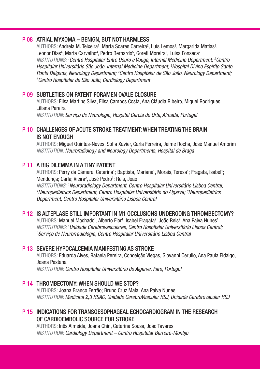#### P 08 ATRIAL MYXOMA – BENIGN, BUT NOT HARMLESS

AUTHORS: Andreia M. Teixeira<sup>1</sup>, Marta Soares Carreira<sup>2</sup>, Luís Lemos<sup>2</sup>, Margarida Matias<sup>3</sup>, Leonor Dias<sup>4</sup>, Marta Carvalho<sup>4</sup>, Pedro Bernardo<sup>5</sup>, Goreti Moreira<sup>2</sup>, Luísa Fonseca<sup>2</sup> *INSTITUTIONS: 1 Centro Hospitalar Entre Douro e Vouga, Internal Medicine Department; 2 Centro Hospitalar Universitário São João, Internal Medicine Department; 3 Hospital Divino Espírito Santo,*  Ponta Delgada, Neurology Department; <sup>4</sup>Centro Hospitalar de São João, Neurology Department;<br><sup>5</sup>Centro Hospitalar de São João, Cardiology Department *Centro Hospitalar de São João, Cardiology Department*

#### P 09 SURTLETIES ON PATENT FORAMEN OVALE CLOSURE

AUTHORS: Elisa Martins Silva, Elisa Campos Costa, Ana Cláudia Ribeiro, Miguel Rodrigues, Liliana Pereira

*INSTITUTION: Serviço de Neurologia, Hospital Garcia de Orta, Almada, Portugal* 

#### P 10 CHALLENGES OF ACUTE STROKE TREATMENT: WHEN TREATING THE BRAIN IS NOT ENOUGH

AUTHORS: Miguel Quintas-Neves, Sofia Xavier, Carla Ferreira, Jaime Rocha, José Manuel Amorim *INSTITUTION: Neuroradiology and Neurology Departments, Hospital de Braga*

#### P 11 A BIG DILEMMA IN A TINY PATIENT

AUTHORS: Perry da Câmara, Catarina<sup>1</sup>; Baptista, Mariana<sup>1</sup>, Morais, Teresa<sup>1</sup>; Fragata, Isabel<sup>1</sup>; Mendonça; Carla; Vieira<sup>2</sup>, José Pedro<sup>3</sup>; Reis, João<sup>1</sup> INSTITUTIONS: 'Neuroradiology Department, Centro Hospitalar Universitário Lisboa Central;<br><sup>2</sup>Neuropediatrics Department, Centro Hospitalar Universitário do Algarve<sup>, 3</sup>Neuropediatrics *Neuropediatrics Department, Centro Hospitalar Universitário do Algarve; 3 Neuropediatrics Department, Centro Hospitalar Universitário Lisboa Central*

#### P 12 IS ALTEPLASE STILL IMPORTANT IN M1 OCCLUSIONS UNDERGOING THROMBECTOMY?

AUTHORS: Manuel Machado<sup>1</sup>, Alberto Fior<sup>1</sup>, Isabel Fragata<sup>2</sup>, João Reis<sup>2</sup>, Ana Paiva Nunes<sup>1</sup> INSTITUTIONS: 'Unidade Cerebrovasculares, Centro Hospitalar Universitário Lisboa Central;<br><sup>2</sup>Servico de Neurorradiologia, Centro Hospitalar Universitário Lisboa Central *Serviço de Neurorradiologia, Centro Hospitalar Universitário Lisboa Central* 

#### P 13 SEVERE HYPOCALCEMIA MANIFESTING AS STROKE

AUTHORS: Eduarda Alves, Rafaela Pereira, Conceição Viegas, Giovanni Cerullo, Ana Paula Fidalgo, Joana Pestana

*INSTITUTION: Centro Hospitalar Universitário do Algarve, Faro, Portugal*

#### P 14 THROMBECTOMY: WHEN SHOULD WE STOP?

AUTHORS: Joana Branco Ferrão; Bruno Cruz Maia; Ana Paiva Nunes *INSTITUTION: Medicina 2,3 HSAC, Unidade CerebroVascular HSJ, Unidade Cerebrovacular HSJ*

#### P 15 INDICATIONS FOR TRANSOESOPHAGEAL ECHOCARDIOGRAM IN THE RESEARCH OF CARDIOEMBOLIC SOURCE FOR STROKE

AUTHORS: Inês Almeida, Joana Chin, Catarina Sousa, João Tavares *INSTITUTION: Cardiology Department – Centro Hospitalar Barreiro-Montijo*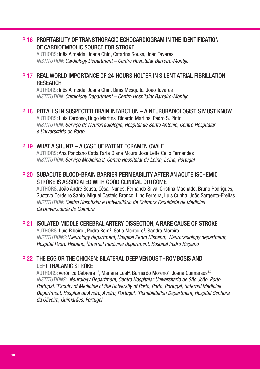#### P 16 PROFITABILITY OF TRANSTHORACIC ECHOCARDIOGRAM IN THE IDENTIFICATION OF CARDIOEMBOLIC SOURCE FOR STROKE

AUTHORS: Inês Almeida, Joana Chin, Catarina Sousa, João Tavares *INSTITUTION: Cardiology Department – Centro Hospitalar Barreiro-Montijo*

#### P 17 REAL WORLD IMPORTANCE OF 24-HOURS HOLTER IN SILENT ATRIAL FIBRILLATION RESEARCH

AUTHORS: Inês Almeida, Joana Chin, Dinis Mesquita, João Tavares *INSTITUTION: Cardiology Department – Centro Hospitalar Barreiro-Montijo*

#### P 18 PITFALLS IN SUSPECTED BRAIN INFARCTION – A NEURORADIOLOGIST'S MUST KNOW

AUTHORS: Luís Cardoso, Hugo Martins, Ricardo Martins, Pedro S. Pinto *INSTITUTION: Serviço de Neurorradiologia, Hospital de Santo António, Centro Hospitalar e Universitário do Porto*

#### P 19 WHAT A SHIINTI – A CASE OF PATENT FORAMEN OVALE

AUTHORS: Ana Ponciano Cátia Faria Diana Moura José Leite Célio Fernandes *INSTITUTION: Serviço Medicina 2, Centro Hospitalar de Leiria, Leiria, Portugal*

#### P 20 SUBACUTE BLOOD-BRAIN BARRIER PERMEABILITY AFTER AN ACUTE ISCHEMIC STROKE IS ASSOCIATED WITH GOOD CLINICAL OUTCOME

AUTHORS: João André Sousa, César Nunes, Fernando Silva, Cristina Machado, Bruno Rodrigues, Gustavo Cordeiro Santo, Miguel Castelo Branco, Lino Ferreira, Luis Cunha, João Sargento-Freitas *INSTITUTION: Centro Hospitalar e Universitário de Coimbra Faculdade de Medicina da Universidade de Coimbra*

#### P 21 ISOLATED MIDDLE CEREBRAL ARTERY DISSECTION, A RARE CAUSE OF STROKE

AUTHORS: Luís Ribeiro<sup>1</sup>, Pedro Bem<sup>2</sup>, Sofia Monteiro<sup>3</sup>, Sandra Moreira<sup>1</sup> *INSTITUTIONS: 1Neurology department, Hospital Pedro Hispano; 2 Neuroradiology department, Hospital Pedro Hispano, 3 Internal medicine department, Hospital Pedro Hispano*

#### P 22 THE EGG OR THE CHICKEN: BILATERAL DEEP VENOUS THROMBOSIS AND LEFT THALAMIC STROKE

AUTHORS: Verónica Cabreira<sup>1,2</sup>, Mariana Leal<sup>3</sup>, Bernardo Moreno<sup>4</sup>, Joana Guimarães<sup>1,2</sup> INSTITUTIONS: <sup>1</sup> Neurology Department, Centro Hospitalar Universitário de São João, Porto, *Portugal, 2 Faculty of Medicine of the University of Porto, Porto, Portugal, 3 Internal Medicine Department, Hospital de Aveiro, Aveiro, Portugal, 4 Rehabilitation Department, Hospital Senhora da Oliveira, Guimarães, Portugal*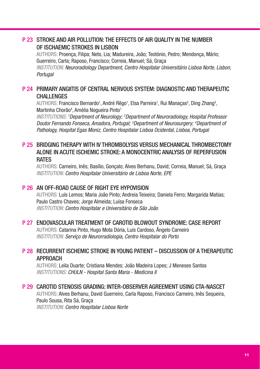#### P 23 STROKE AND AIR POLLUTION: THE EFFECTS OF AIR QUALITY IN THE NUMBER OF ISCHAEMIC STROKES IN LISBON

AUTHORS: Proença, Filipa; Neto, Lia; Madureira, João; Teotónio, Pedro; Mendonça, Mário; Guerreiro, Carla; Raposo, Francisco; Correia, Manuel; Sá, Graça *INSTITUTION: Neuroradiology Department, Centro Hospitalar Universitário Lisboa Norte, Lisbon,* 

*Portugal*

#### P 24 PRIMARY ANGIITIS OF CENTRAL NERVOUS SYSTEM: DIAGNOSTIC AND THERAPEUTIC CHALL FNGES

AUTHORS: Francisco Bernardo<sup>1</sup>, André Rêgo<sup>1</sup>, Elsa Parreira<sup>1</sup>, Rui Manaças<sup>2</sup>, Ding Zhang<sup>3</sup>, Martinha Chorão<sup>4</sup>, Amélia Nogueira Pinto<sup>1</sup>

INSTITUTIONS: <sup>1</sup>Department of Neurology; <sup>2</sup>Department of Neuroradiology, Hospital Professor *Doutor Fernando Fonseca, Amadora, Portugal; 3 Department of Neurosurgery; 4 Department of Pathology, Hospital Egas Moniz, Centro Hospitalar Lisboa Ocidental, Lisboa, Portugal*

#### P 25 BRIDGING THERAPY WITH IV THROMBOLYSIS VERSUS MECHANICAL THROMBECTOMY ALONE IN ACUTE ISCHEMIC STROKE: A MONOCENTRIC ANALYSIS OF REPERFUSION RATES

AUTHORS: Carneiro, Inês; Basílio, Gonçalo; Alves Berhanu, David; Correia, Manuel; Sá, Graça *INSTITUTION: Centro Hospitalar Universitário de Lisboa Norte, EPE*

#### P 26 AN OFF-ROAD CAUSE OF RIGHT EYE HYPOVISION

AUTHORS: Luís Lemos; Maria João Pinto; Andreia Teixeira; Daniela Ferro; Margarida Matias; Paulo Castro Chaves; Jorge Almeida; Luísa Fonseca *INSTITUTION: Centro Hospitalar e Universitário de São João*

#### P 27 ENDOVASCULAR TREATMENT OF CAROTID BLOWOUT SYNDROME: CASE REPORT

AUTHORS: Catarina Pinto, Hugo Mota Dória, Luís Cardoso, Ângelo Carneiro *INSTITUTION: Serviço de Neurorradiologia, Centro Hospitalar do Porto* 

#### P 28 RECURRENT ISCHEMIC STROKE IN YOUNG PATIENT – DISCUSSION OF A THERAPEUTIC APPROACH

AUTHORS: Leila Duarte; Cristiana Mendes; João Madeira Lopes; J Meneses Santos *INSTITUTIONS: CHULN - Hospital Santa Maria - Medicina II*

#### P 29 CAROTID STENOSIS GRADING: INTER-OBSERVER AGREEMENT USING CTA-NASCET

AUTHORS: Alves Berhanu, David Guerreiro, Carla Raposo, Francisco Carneiro, Inês Sequeira, Paulo Sousa, Rita Sá, Graça *INSTITUTION: Centro Hospitalar Lisboa Norte*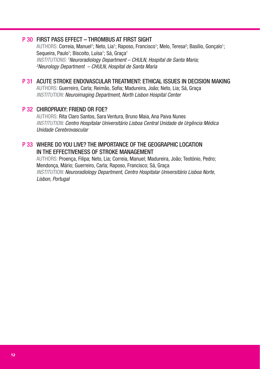#### P 30 FIRST PASS EFFECT – THROMBUS AT FIRST SIGHT

AUTHORS: Correia, Manuel<sup>1</sup>; Neto, Lia<sup>1</sup>; Raposo, Francisco<sup>1</sup>; Melo, Teresa<sup>2</sup>; Basílio, Gonçalo<sup>1</sup>; Sequeira, Paulo1; Biscoito, Luísa1; Sá, Graça1 INSTITUTIONS: <sup>1</sup>Neuroradiology Department – CHULN, Hospital de Santa Maria;<br><sup>2</sup>Neurology Department – CHULN, Hospital de Santa Maria *Neurology Department – CHULN, Hospital de Santa Maria*

#### P 31 ACUTE STROKE ENDOVASCULAR TREATMENT: ETHICAL ISSUES IN DECISION MAKING

AUTHORS: Guerreiro, Carla; Reimão, Sofia; Madureira, João; Neto, Lia; Sá, Graça *INSTITUTION: Neuroimaging Department, North Lisbon Hospital Center*

#### P 32 CHIROPRAXY: FRIEND OR FOE?

AUTHORS: Rita Claro Santos, Sara Ventura, Bruno Maia, Ana Paiva Nunes *INSTITUTION: Centro Hospitalar Universitário Lisboa Central Unidade de Urgência Médica Unidade Cerebrovascular*

#### P 33 WHERE DO YOU LIVE? THE IMPORTANCE OF THE GEOGRAPHIC LOCATION IN THE EFFECTIVENESS OF STROKE MANAGEMENT

AUTHORS: Proença, Filipa; Neto, Lia; Correia, Manuel; Madureira, João; Teotónio, Pedro; Mendonça, Mário; Guerreiro, Carla; Raposo, Francisco; Sá, Graça *INSTITUTION: Neuroradiology Department, Centro Hospitalar Universitário Lisboa Norte, Lisbon, Portugal*